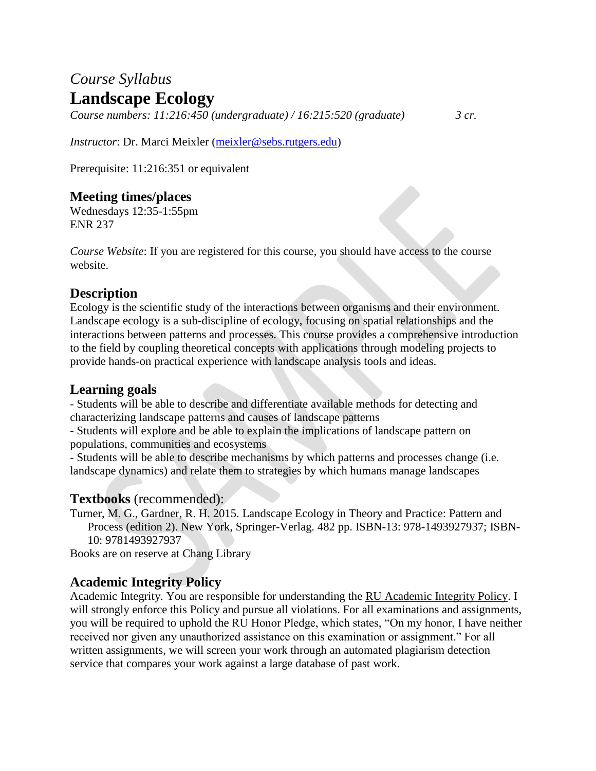# *Course Syllabus* **Landscape Ecology**

*Course numbers: 11:216:450 (undergraduate) / 16:215:520 (graduate) 3 cr.*

*Instructor*: Dr. Marci Meixler [\(meixler@sebs.rutgers.edu\)](mailto:meixler@sebs.rutgers.edu)

Prerequisite: 11:216:351 or equivalent

## **Meeting times/places**

Wednesdays 12:35-1:55pm ENR 237

*Course Website*: If you are registered for this course, you should have access to the course website.

### **Description**

Ecology is the scientific study of the interactions between organisms and their environment. Landscape ecology is a sub-discipline of ecology, focusing on spatial relationships and the interactions between patterns and processes. This course provides a comprehensive introduction to the field by coupling theoretical concepts with applications through modeling projects to provide hands-on practical experience with landscape analysis tools and ideas.

### **Learning goals**

- Students will be able to describe and differentiate available methods for detecting and characterizing landscape patterns and causes of landscape patterns

- Students will explore and be able to explain the implications of landscape pattern on populations, communities and ecosystems

- Students will be able to describe mechanisms by which patterns and processes change (i.e. landscape dynamics) and relate them to strategies by which humans manage landscapes

#### **Textbooks** (recommended):

Turner, M. G., Gardner, R. H. 2015. Landscape Ecology in Theory and Practice: Pattern and Process (edition 2). New York, Springer-Verlag. 482 pp. ISBN-13: 978-1493927937; ISBN-10: 9781493927937

Books are on reserve at Chang Library

# **Academic Integrity Policy**

Academic Integrity. You are responsible for understanding the [RU Academic Integrity Policy.](https://slwordpress.rutgers.edu/academicintegrity/wp-content/uploads/sites/41/2014/11/AI_Policy_2013.pdf) I will strongly enforce this Policy and pursue all violations. For all examinations and assignments, you will be required to uphold the RU Honor Pledge, which states, "On my honor, I have neither received nor given any unauthorized assistance on this examination or assignment." For all written assignments, we will screen your work through an automated plagiarism detection service that compares your work against a large database of past work.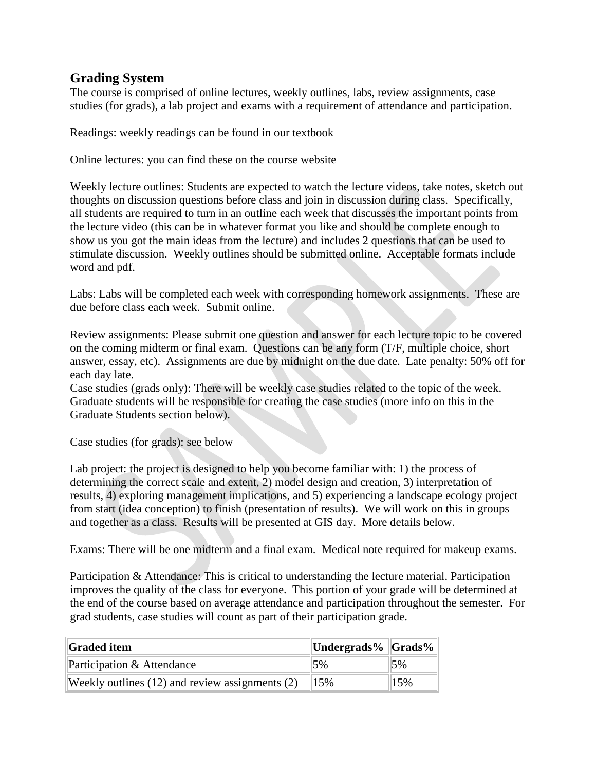#### **Grading System**

The course is comprised of online lectures, weekly outlines, labs, review assignments, case studies (for grads), a lab project and exams with a requirement of attendance and participation.

Readings: weekly readings can be found in our textbook

Online lectures: you can find these on the course website

Weekly lecture outlines: Students are expected to watch the lecture videos, take notes, sketch out thoughts on discussion questions before class and join in discussion during class. Specifically, all students are required to turn in an outline each week that discusses the important points from the lecture video (this can be in whatever format you like and should be complete enough to show us you got the main ideas from the lecture) and includes 2 questions that can be used to stimulate discussion. Weekly outlines should be submitted online. Acceptable formats include word and pdf.

Labs: Labs will be completed each week with corresponding homework assignments. These are due before class each week. Submit online.

Review assignments: Please submit one question and answer for each lecture topic to be covered on the coming midterm or final exam. Questions can be any form (T/F, multiple choice, short answer, essay, etc). Assignments are due by midnight on the due date. Late penalty: 50% off for each day late.

Case studies (grads only): There will be weekly case studies related to the topic of the week. Graduate students will be responsible for creating the case studies (more info on this in the Graduate Students section below).

Case studies (for grads): see below

Lab project: the project is designed to help you become familiar with: 1) the process of determining the correct scale and extent, 2) model design and creation, 3) interpretation of results, 4) exploring management implications, and 5) experiencing a landscape ecology project from start (idea conception) to finish (presentation of results). We will work on this in groups and together as a class. Results will be presented at GIS day. More details below.

Exams: There will be one midterm and a final exam. Medical note required for makeup exams.

Participation & Attendance: This is critical to understanding the lecture material. Participation improves the quality of the class for everyone. This portion of your grade will be determined at the end of the course based on average attendance and participation throughout the semester. For grad students, case studies will count as part of their participation grade.

| <b>Graded item</b>                              | Undergrads% Grads%  |     |
|-------------------------------------------------|---------------------|-----|
| Participation & Attendance                      | $\frac{15\%}{15\%}$ | 5%  |
| Weekly outlines (12) and review assignments (2) |                     | 15% |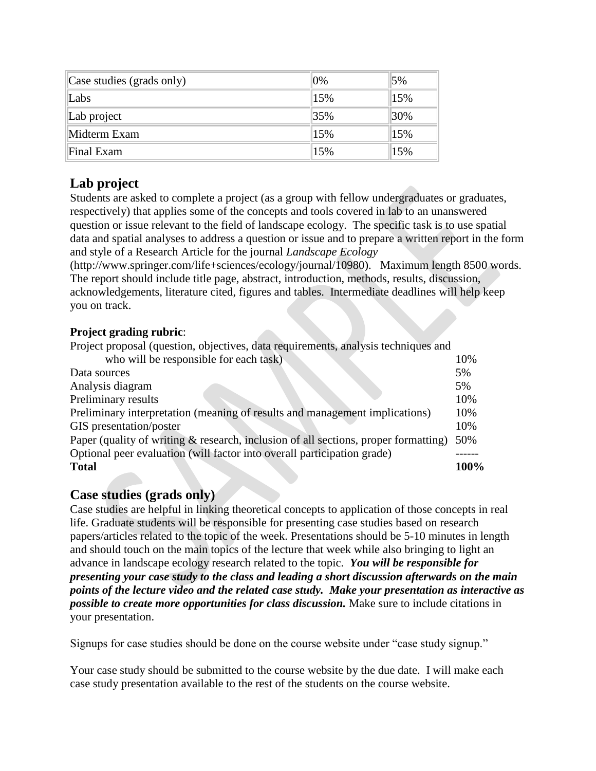| Case studies (grads only) | $0\%$ | 5%                |
|---------------------------|-------|-------------------|
| Labs                      | 15%   | 15%               |
| Lab project               | 35%   | $\frac{130\%}{ }$ |
| Midterm Exam              | 15%   | 15%               |
| Final Exam                | 15%   | 15%               |

# **Lab project**

Students are asked to complete a project (as a group with fellow undergraduates or graduates, respectively) that applies some of the concepts and tools covered in lab to an unanswered question or issue relevant to the field of landscape ecology. The specific task is to use spatial data and spatial analyses to address a question or issue and to prepare a written report in the form and style of a Research Article for the journal *Landscape Ecology* 

(http://www.springer.com/life+sciences/ecology/journal/10980). Maximum length 8500 words. The report should include title page, abstract, introduction, methods, results, discussion, acknowledgements, literature cited, figures and tables. Intermediate deadlines will help keep you on track.

#### **Project grading rubric**:

| Project proposal (question, objectives, data requirements, analysis techniques and     |      |
|----------------------------------------------------------------------------------------|------|
| who will be responsible for each task)                                                 | 10%  |
| Data sources                                                                           | 5%   |
| Analysis diagram                                                                       | 5%   |
| Preliminary results                                                                    | 10%  |
| Preliminary interpretation (meaning of results and management implications)            | 10%  |
| GIS presentation/poster                                                                | 10%  |
| Paper (quality of writing $\&$ research, inclusion of all sections, proper formatting) | 50%  |
| Optional peer evaluation (will factor into overall participation grade)                |      |
| <b>Total</b>                                                                           | 100% |

#### **Case studies (grads only)**

Case studies are helpful in linking theoretical concepts to application of those concepts in real life. Graduate students will be responsible for presenting case studies based on research papers/articles related to the topic of the week. Presentations should be 5-10 minutes in length and should touch on the main topics of the lecture that week while also bringing to light an advance in landscape ecology research related to the topic. *You will be responsible for presenting your case study to the class and leading a short discussion afterwards on the main points of the lecture video and the related case study. Make your presentation as interactive as possible to create more opportunities for class discussion.* Make sure to include citations in your presentation.

Signups for case studies should be done on the course website under "case study signup."

Your case study should be submitted to the course website by the due date. I will make each case study presentation available to the rest of the students on the course website.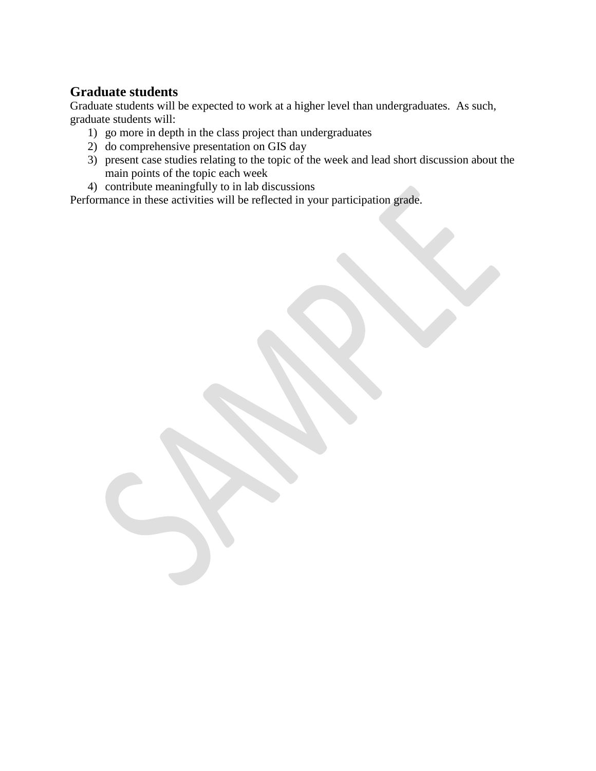### **Graduate students**

Graduate students will be expected to work at a higher level than undergraduates. As such, graduate students will:

- 1) go more in depth in the class project than undergraduates
- 2) do comprehensive presentation on GIS day
- 3) present case studies relating to the topic of the week and lead short discussion about the main points of the topic each week
- 4) contribute meaningfully to in lab discussions

Performance in these activities will be reflected in your participation grade.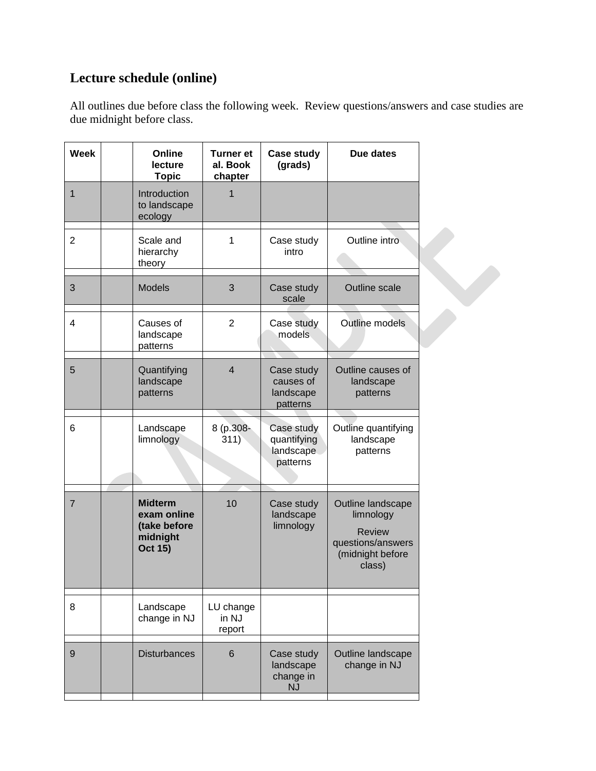# **Lecture schedule (online)**

`

All outlines due before class the following week. Review questions/answers and case studies are due midnight before class.

| <b>Week</b>    | Online<br>lecture<br><b>Topic</b>                                           | <b>Turner et</b><br>al. Book<br>chapter | <b>Case study</b><br>(grads)                       | Due dates                                                                                          |
|----------------|-----------------------------------------------------------------------------|-----------------------------------------|----------------------------------------------------|----------------------------------------------------------------------------------------------------|
| 1              | Introduction<br>to landscape<br>ecology                                     | 1                                       |                                                    |                                                                                                    |
| $\overline{2}$ | Scale and<br>hierarchy<br>theory                                            | 1                                       | Case study<br>intro                                | Outline intro                                                                                      |
| 3              | <b>Models</b>                                                               | 3                                       | Case study<br>scale                                | Outline scale                                                                                      |
| 4              | Causes of<br>landscape<br>patterns                                          | $\overline{2}$                          | Case study<br>models                               | Outline models                                                                                     |
| 5              | Quantifying<br>landscape<br>patterns                                        | $\overline{4}$                          | Case study<br>causes of<br>landscape<br>patterns   | Outline causes of<br>landscape<br>patterns                                                         |
| 6              | Landscape<br>limnology                                                      | 8 (p.308-<br>311)                       | Case study<br>quantifying<br>landscape<br>patterns | Outline quantifying<br>landscape<br>patterns                                                       |
| $\overline{7}$ | <b>Midterm</b><br>exam online<br>(take before<br>midnight<br><b>Oct 15)</b> | 10                                      | Case study<br>landscape<br>limnology               | Outline landscape<br>limnology<br><b>Review</b><br>questions/answers<br>(midnight before<br>class) |
| 8              | Landscape<br>change in NJ                                                   | LU change<br>in NJ<br>report            |                                                    |                                                                                                    |
| 9              | <b>Disturbances</b>                                                         | 6                                       | Case study<br>landscape<br>change in<br><b>NJ</b>  | Outline landscape<br>change in NJ                                                                  |
|                |                                                                             |                                         |                                                    |                                                                                                    |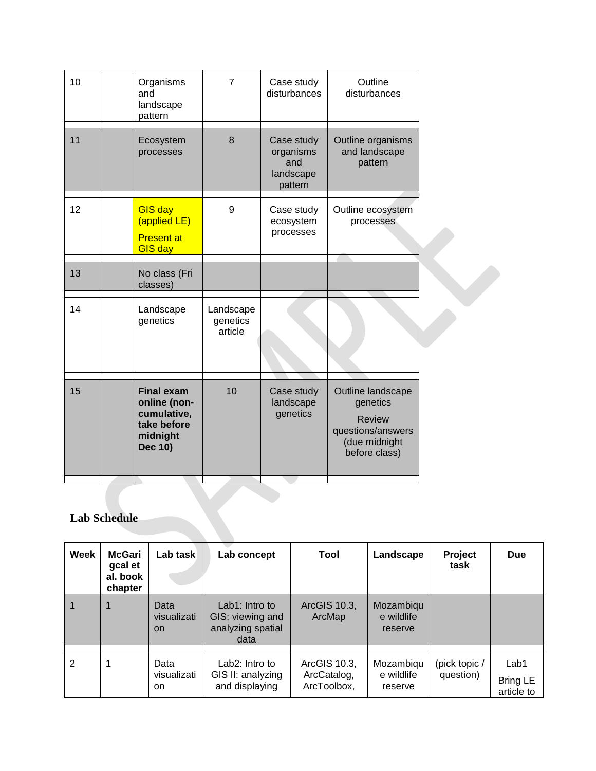| 10 | Organisms<br>and<br>landscape<br>pattern                                               | $\overline{7}$                   | Case study<br>disturbances                             | Outline<br>disturbances                                                                               |  |
|----|----------------------------------------------------------------------------------------|----------------------------------|--------------------------------------------------------|-------------------------------------------------------------------------------------------------------|--|
| 11 | Ecosystem<br>processes                                                                 | 8                                | Case study<br>organisms<br>and<br>landscape<br>pattern | Outline organisms<br>and landscape<br>pattern                                                         |  |
| 12 | <b>GIS day</b><br>(applied LE)<br><b>Present at</b><br><b>GIS day</b>                  | 9                                | Case study<br>ecosystem<br>processes                   | Outline ecosystem<br>processes                                                                        |  |
| 13 | No class (Fri<br>classes)                                                              |                                  |                                                        |                                                                                                       |  |
| 14 | Landscape<br>genetics                                                                  | Landscape<br>genetics<br>article |                                                        |                                                                                                       |  |
| 15 | <b>Final exam</b><br>online (non-<br>cumulative,<br>take before<br>midnight<br>Dec 10) | 10                               | Case study<br>landscape<br>genetics                    | Outline landscape<br>genetics<br><b>Review</b><br>questions/answers<br>(due midnight<br>before class) |  |

# **Lab Schedule**

| Week | McGari<br>gcal et<br>al. book<br>chapter | Lab task                         | Lab concept                                                     | Tool                                       | Landscape                          | Project<br>task            | <b>Due</b>                     |
|------|------------------------------------------|----------------------------------|-----------------------------------------------------------------|--------------------------------------------|------------------------------------|----------------------------|--------------------------------|
|      |                                          | Data<br>visualizati<br><b>on</b> | Lab1: Intro to<br>GIS: viewing and<br>analyzing spatial<br>data | ArcGIS 10.3,<br>ArcMap                     | Mozambiqu<br>e wildlife<br>reserve |                            |                                |
| 2    |                                          | Data<br>visualizati<br>on        | Lab2: Intro to<br>GIS II: analyzing<br>and displaying           | ArcGIS 10.3,<br>ArcCatalog,<br>ArcToolbox, | Mozambiqu<br>e wildlife<br>reserve | (pick topic /<br>question) | Lab1<br>Bring LE<br>article to |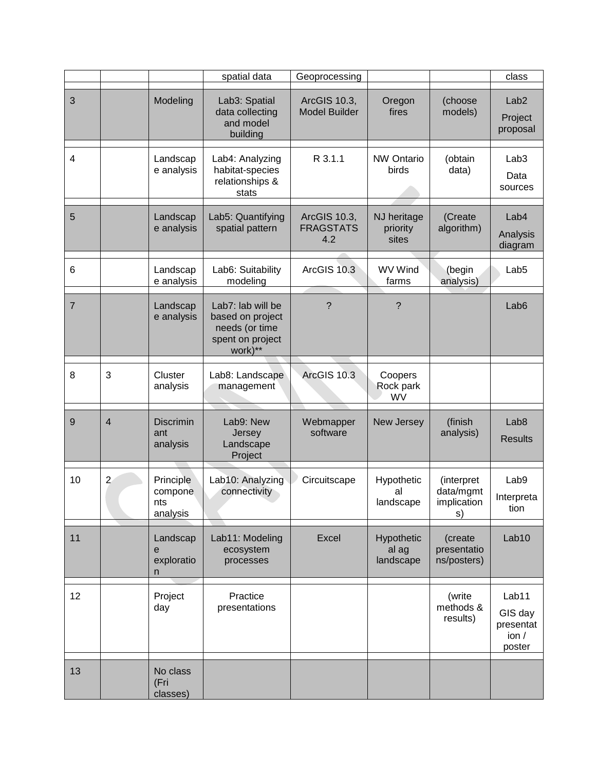|                |                |                                         | spatial data                                                                           | Geoprocessing                           |                                  |                                              | class                                           |
|----------------|----------------|-----------------------------------------|----------------------------------------------------------------------------------------|-----------------------------------------|----------------------------------|----------------------------------------------|-------------------------------------------------|
| 3              |                | Modeling                                | Lab3: Spatial<br>data collecting<br>and model<br>building                              | ArcGIS 10.3,<br><b>Model Builder</b>    | Oregon<br>fires                  | (choose<br>models)                           | Lab <sub>2</sub><br>Project<br>proposal         |
| $\overline{4}$ |                | Landscap<br>e analysis                  | Lab4: Analyzing<br>habitat-species<br>relationships &<br>stats                         | R 3.1.1                                 | <b>NW Ontario</b><br>birds       | (obtain<br>data)                             | Lab <sub>3</sub><br>Data<br>sources             |
| 5              |                | Landscap<br>e analysis                  | Lab5: Quantifying<br>spatial pattern                                                   | ArcGIS 10.3,<br><b>FRAGSTATS</b><br>4.2 | NJ heritage<br>priority<br>sites | (Create<br>algorithm)                        | Lab4<br>Analysis<br>diagram                     |
| 6              |                | Landscap<br>e analysis                  | Lab6: Suitability<br>modeling                                                          | ArcGIS 10.3                             | <b>WV Wind</b><br>farms          | (begin<br>analysis)                          | Lab <sub>5</sub>                                |
| $\overline{7}$ |                | Landscap<br>e analysis                  | Lab7: lab will be<br>based on project<br>needs (or time<br>spent on project<br>work)** | $\overline{?}$                          | ?                                |                                              | Lab <sub>6</sub>                                |
| 8              | 3              | Cluster<br>analysis                     | Lab8: Landscape<br>management                                                          | ArcGIS 10.3                             | Coopers<br>Rock park<br>WV       |                                              |                                                 |
| 9              | $\overline{4}$ | <b>Discrimin</b><br>ant<br>analysis     | Lab9: New<br>Jersey<br>Landscape<br>Project                                            | Webmapper<br>software                   | New Jersey                       | (finish<br>analysis)                         | Lab <sub>8</sub><br><b>Results</b>              |
| 10             | $\overline{2}$ | Principle<br>compone<br>nts<br>analysis | Lab10: Analyzing<br>connectivity                                                       | Circuitscape                            | Hypothetic<br>al<br>landscape    | (interpret<br>data/mgmt<br>implication<br>s) | Lab9<br>Interpreta<br>tion                      |
| 11             |                | Landscap<br>е<br>exploratio<br>n        | Lab11: Modeling<br>ecosystem<br>processes                                              | Excel                                   | Hypothetic<br>al ag<br>landscape | (create<br>presentatio<br>ns/posters)        | Lab10                                           |
| 12             |                | Project<br>day                          | Practice<br>presentations                                                              |                                         |                                  | (write<br>methods &<br>results)              | Lab11<br>GIS day<br>presentat<br>ion/<br>poster |
| 13             |                | No class<br>(Fri<br>classes)            |                                                                                        |                                         |                                  |                                              |                                                 |